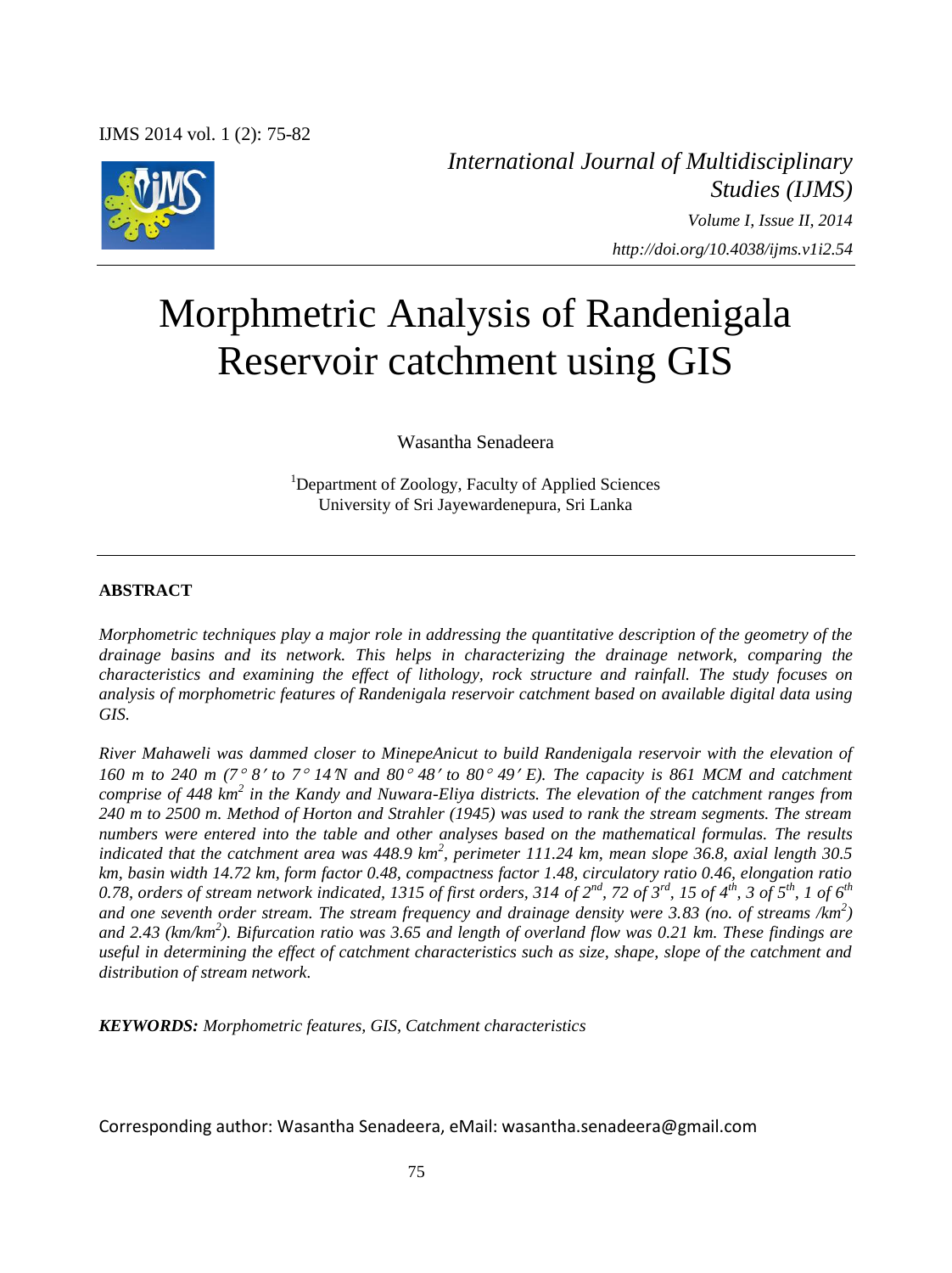

*International Journal of Multidisciplinary Studies (IJMS) Volume I, Issue II, 2014 http://doi.org/10.4038/ijms.v1i2.54*

# Morphmetric Analysis of Randenigala Reservoir catchment using GIS

Wasantha Senadeera

<sup>1</sup>Department of Zoology, Faculty of Applied Sciences University of Sri Jayewardenepura, Sri Lanka

## **ABSTRACT**

*Morphometric techniques play a major role in addressing the quantitative description of the geometry of the drainage basins and its network. This helps in characterizing the drainage network, comparing the characteristics and examining the effect of lithology, rock structure and rainfall. The study focuses on analysis of morphometric features of Randenigala reservoir catchment based on available digital data using GIS.* 

*River Mahaweli was dammed closer to MinepeAnicut to build Randenigala reservoir with the elevation of 160 m to 240 m (7 8 to 7 14N and 80 48 to 80 49 E). The capacity is 861 MCM and catchment*  comprise of 448 km<sup>2</sup> in the Kandy and Nuwara-Eliya districts. The elevation of the catchment ranges from *240 m to 2500 m. Method of Horton and Strahler (1945) was used to rank the stream segments. The stream numbers were entered into the table and other analyses based on the mathematical formulas. The results indicated that the catchment area was 448.9 km<sup>2</sup>, perimeter 111.24 km, mean slope 36.8, axial length 30.5 km, basin width 14.72 km, form factor 0.48, compactness factor 1.48, circulatory ratio 0.46, elongation ratio*  0.78, orders of stream network indicated, 1315 of first orders, 314 of  $2^{nd}$ , 72 of  $3^{rd}$ , 15 of  $4^{th}$ , 3 of  $5^{th}$ , 1 of  $6^{th}$ *and one seventh order stream. The stream frequency and drainage density were 3.83 (no. of streams /km<sup>2</sup> ) and 2.43 (km/km<sup>2</sup> ). Bifurcation ratio was 3.65 and length of overland flow was 0.21 km. These findings are useful in determining the effect of catchment characteristics such as size, shape, slope of the catchment and distribution of stream network.* 

*KEYWORDS: Morphometric features, GIS, Catchment characteristics* 

Corresponding author: Wasantha Senadeera, eMail: wasantha.senadeera@gmail.com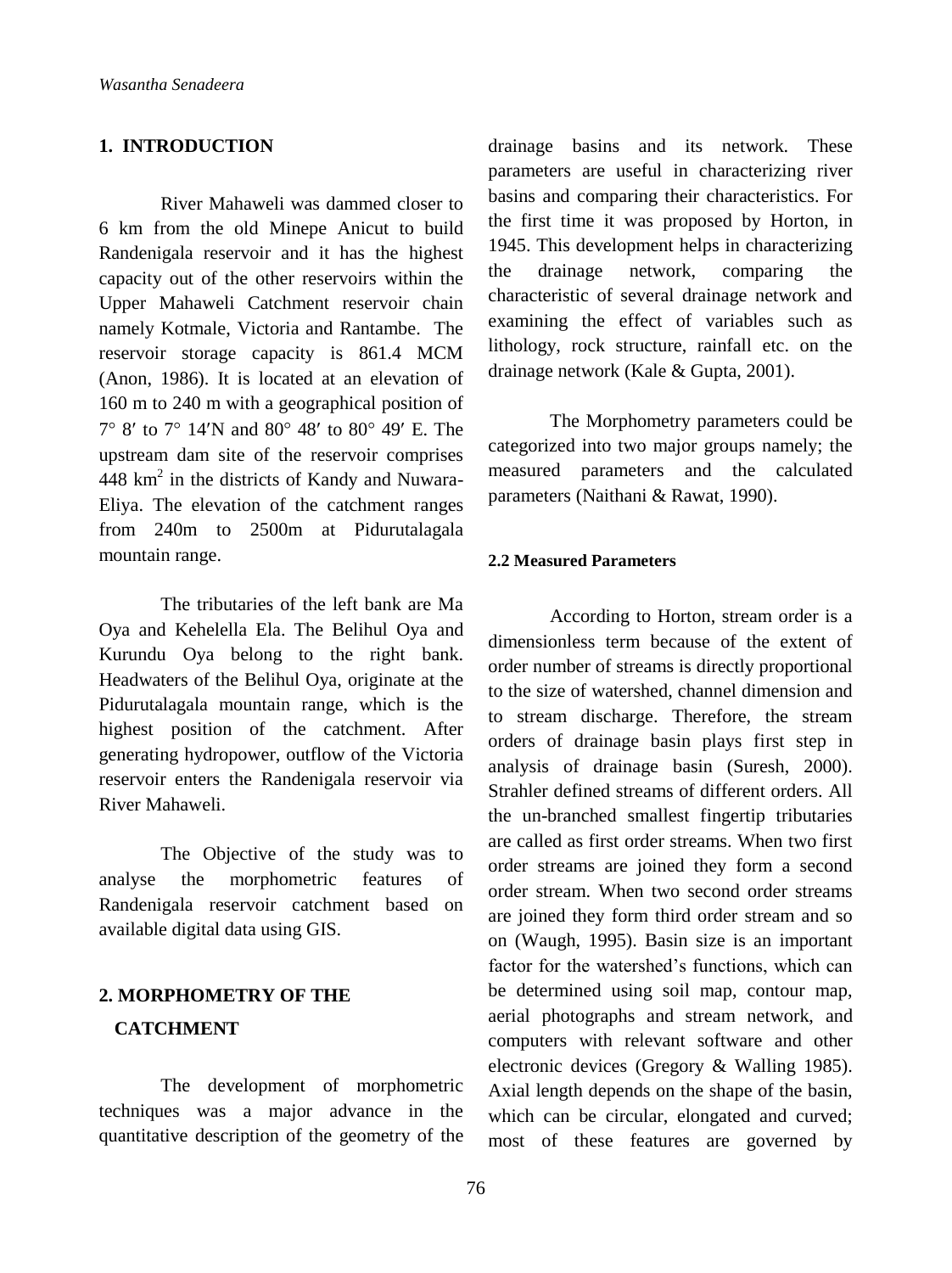# **1. INTRODUCTION**

River Mahaweli was dammed closer to 6 km from the old Minepe Anicut to build Randenigala reservoir and it has the highest capacity out of the other reservoirs within the Upper Mahaweli Catchment reservoir chain namely Kotmale, Victoria and Rantambe. The reservoir storage capacity is 861.4 MCM (Anon, 1986). It is located at an elevation of 160 m to 240 m with a geographical position of 7° 8' to 7° 14'N and 80° 48' to 80° 49' E. The upstream dam site of the reservoir comprises  $448 \text{ km}^2$  in the districts of Kandy and Nuwara-Eliya. The elevation of the catchment ranges from 240m to 2500m at Pidurutalagala mountain range.

The tributaries of the left bank are Ma Oya and Kehelella Ela. The Belihul Oya and Kurundu Oya belong to the right bank. Headwaters of the Belihul Oya, originate at the Pidurutalagala mountain range, which is the highest position of the catchment. After generating hydropower, outflow of the Victoria reservoir enters the Randenigala reservoir via River Mahaweli.

The Objective of the study was to analyse the morphometric features of Randenigala reservoir catchment based on available digital data using GIS.

# **2. MORPHOMETRY OF THE CATCHMENT**

The development of morphometric techniques was a major advance in the quantitative description of the geometry of the

drainage basins and its network. These parameters are useful in characterizing river basins and comparing their characteristics. For the first time it was proposed by Horton, in 1945. This development helps in characterizing the drainage network, comparing the characteristic of several drainage network and examining the effect of variables such as lithology, rock structure, rainfall etc. on the drainage network (Kale & Gupta, 2001).

The Morphometry parameters could be categorized into two major groups namely; the measured parameters and the calculated parameters (Naithani & Rawat, 1990).

#### **2.2 Measured Parameters**

According to Horton, stream order is a dimensionless term because of the extent of order number of streams is directly proportional to the size of watershed, channel dimension and to stream discharge. Therefore, the stream orders of drainage basin plays first step in analysis of drainage basin (Suresh, 2000). Strahler defined streams of different orders. All the un-branched smallest fingertip tributaries are called as first order streams. When two first order streams are joined they form a second order stream. When two second order streams are joined they form third order stream and so on (Waugh, 1995). Basin size is an important factor for the watershed's functions, which can be determined using soil map, contour map, aerial photographs and stream network, and computers with relevant software and other electronic devices (Gregory & Walling 1985). Axial length depends on the shape of the basin, which can be circular, elongated and curved; most of these features are governed by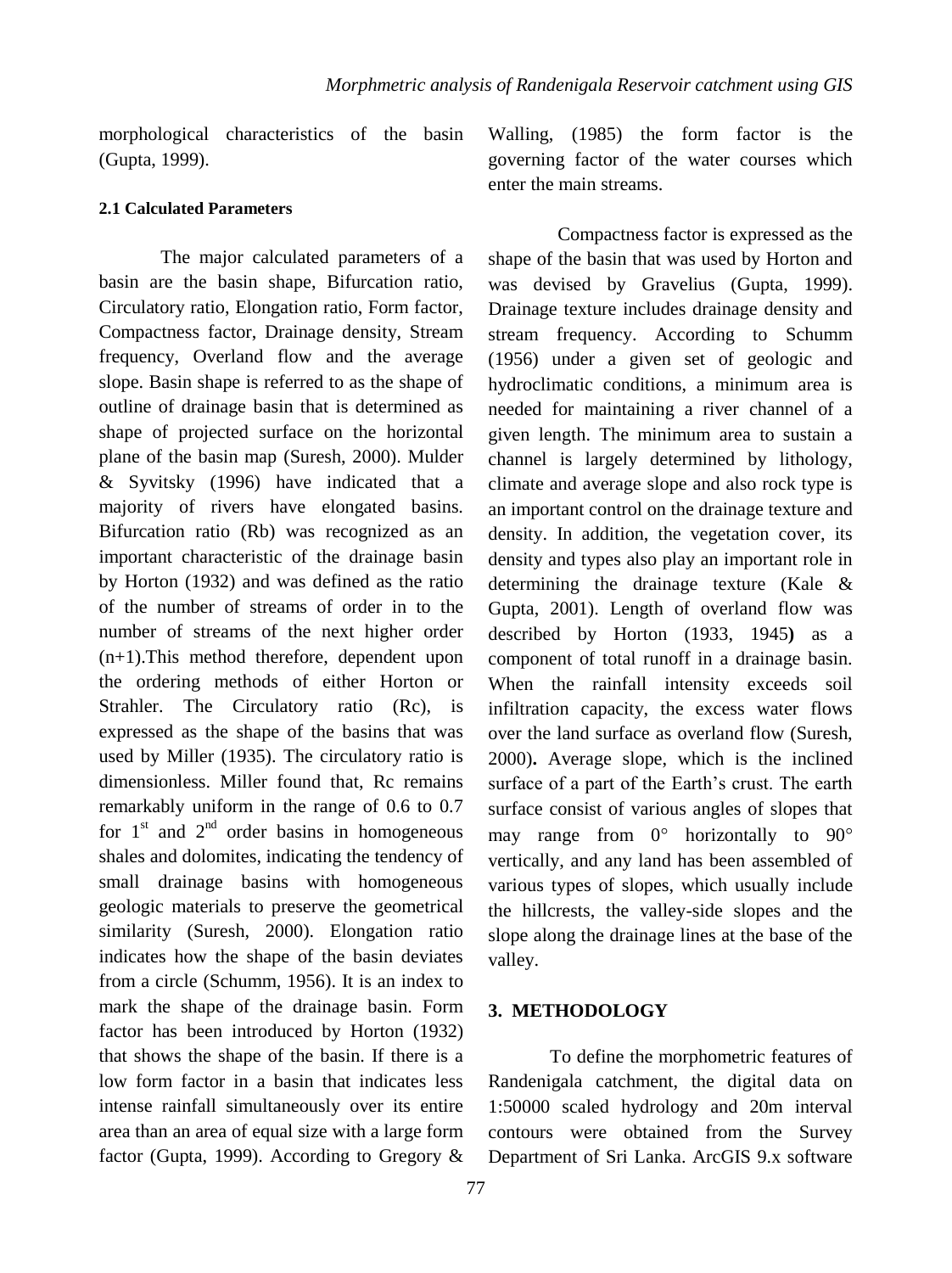morphological characteristics of the basin (Gupta, 1999).

#### **2.1 Calculated Parameters**

The major calculated parameters of a basin are the basin shape, Bifurcation ratio, Circulatory ratio, Elongation ratio, Form factor, Compactness factor, Drainage density, Stream frequency, Overland flow and the average slope. Basin shape is referred to as the shape of outline of drainage basin that is determined as shape of projected surface on the horizontal plane of the basin map (Suresh, 2000). Mulder & Syvitsky (1996) have indicated that a majority of rivers have elongated basins. Bifurcation ratio (Rb) was recognized as an important characteristic of the drainage basin by Horton (1932) and was defined as the ratio of the number of streams of order in to the number of streams of the next higher order (n+1).This method therefore, dependent upon the ordering methods of either Horton or Strahler. The Circulatory ratio (Rc), is expressed as the shape of the basins that was used by Miller (1935). The circulatory ratio is dimensionless. Miller found that, Rc remains remarkably uniform in the range of 0.6 to 0.7 for  $1<sup>st</sup>$  and  $2<sup>nd</sup>$  order basins in homogeneous shales and dolomites, indicating the tendency of small drainage basins with homogeneous geologic materials to preserve the geometrical similarity (Suresh, 2000). Elongation ratio indicates how the shape of the basin deviates from a circle (Schumm, 1956). It is an index to mark the shape of the drainage basin. Form factor has been introduced by Horton (1932) that shows the shape of the basin. If there is a low form factor in a basin that indicates less intense rainfall simultaneously over its entire area than an area of equal size with a large form factor (Gupta, 1999). According to Gregory &

Walling, (1985) the form factor is the governing factor of the water courses which enter the main streams.

Compactness factor is expressed as the shape of the basin that was used by Horton and was devised by Gravelius (Gupta, 1999). Drainage texture includes drainage density and stream frequency. According to Schumm (1956) under a given set of geologic and hydroclimatic conditions, a minimum area is needed for maintaining a river channel of a given length. The minimum area to sustain a channel is largely determined by lithology, climate and average slope and also rock type is an important control on the drainage texture and density. In addition, the vegetation cover, its density and types also play an important role in determining the drainage texture (Kale & Gupta, 2001). Length of overland flow was described by Horton (1933, 1945**)** as a component of total runoff in a drainage basin. When the rainfall intensity exceeds soil infiltration capacity, the excess water flows over the land surface as overland flow (Suresh, 2000)**.** Average slope, which is the inclined surface of a part of the Earth's crust. The earth surface consist of various angles of slopes that may range from  $0^\circ$  horizontally to  $90^\circ$ vertically, and any land has been assembled of various types of slopes, which usually include the hillcrests, the valley-side slopes and the slope along the drainage lines at the base of the valley.

#### **3. METHODOLOGY**

To define the morphometric features of Randenigala catchment, the digital data on 1:50000 scaled hydrology and 20m interval contours were obtained from the Survey Department of Sri Lanka. ArcGIS 9.x software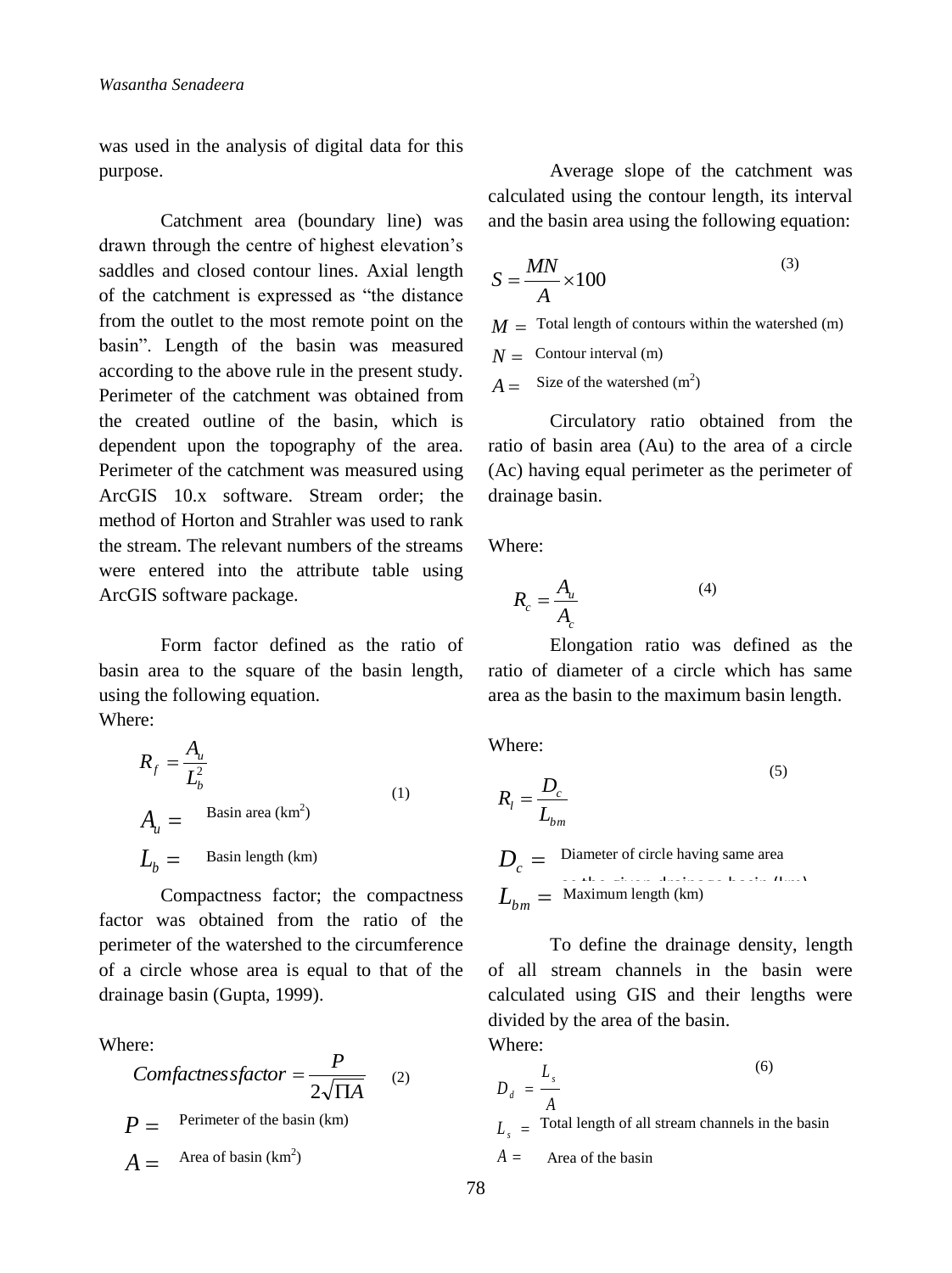was used in the analysis of digital data for this purpose.

Catchment area (boundary line) was drawn through the centre of highest elevation's saddles and closed contour lines. Axial length of the catchment is expressed as "the distance from the outlet to the most remote point on the basin". Length of the basin was measured according to the above rule in the present study. Perimeter of the catchment was obtained from the created outline of the basin, which is dependent upon the topography of the area. Perimeter of the catchment was measured using ArcGIS 10.x software. Stream order; the method of Horton and Strahler was used to rank the stream. The relevant numbers of the streams were entered into the attribute table using ArcGIS software package.

Form factor defined as the ratio of basin area to the square of the basin length, using the following equation. Where:

$$
R_{f} = \frac{A_{u}}{L_{b}^{2}}
$$
  
\n
$$
A_{u} = \text{Basin area (km}^{2})
$$
  
\n
$$
L_{b} = \text{Basin length (km)}
$$
 (1)

Compactness factor; the compactness factor was obtained from the ratio of the perimeter of the watershed to the circumference of a circle whose area is equal to that of the drainage basin (Gupta, 1999).

Where:

*Confactness factor* = 
$$
\frac{P}{2\sqrt{\Pi A}}
$$
 (2)  
\n $P =$  Perimeter of the basin (km)  
\n $A =$  Area of basin (km<sup>2</sup>)

Average slope of the catchment was calculated using the contour length, its interval and the basin area using the following equation:

$$
S = \frac{MN}{A} \times 100
$$

 $M =$  Total length of contours within the watershed (m)

 $N =$  Contour interval (m)

 $A =$  Size of the watershed (m<sup>2</sup>)

Circulatory ratio obtained from the ratio of basin area (Au) to the area of a circle (Ac) having equal perimeter as the perimeter of drainage basin.

Where:

$$
R_c = \frac{A_u}{A_c} \tag{4}
$$

Elongation ratio was defined as the ratio of diameter of a circle which has same area as the basin to the maximum basin length.

Where:

$$
R_{l} = \frac{D_{c}}{L_{bm}}
$$
\n
$$
D_{c} = \text{Diameter of circle having same area}
$$

$$
L_{bm} = \text{Maximum length (km)}
$$

To define the drainage density, length of all stream channels in the basin were calculated using GIS and their lengths were divided by the area of the basin.

Where:

$$
D_d = \frac{L_s}{A}
$$
 (6)

 $L<sub>s</sub>$  = Total length of all stream channels in the basin

 *A* Area of the basin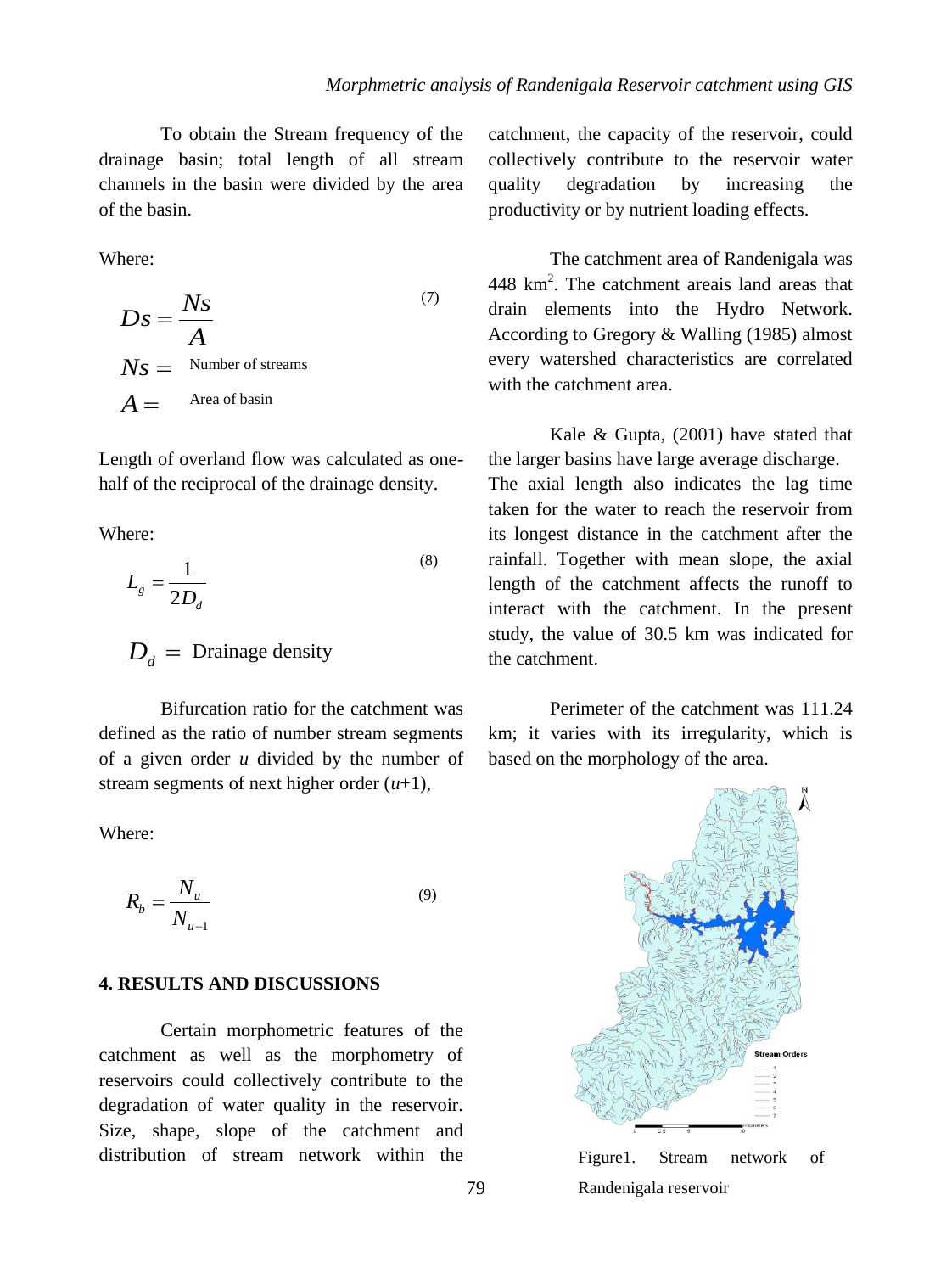To obtain the Stream frequency of the drainage basin; total length of all stream channels in the basin were divided by the area of the basin.

Where:

$$
Ds = \frac{Ns}{A}
$$
  
\n
$$
Ns = \text{Number of streams}
$$
  
\n
$$
A = \text{Area of basin}
$$

Length of overland flow was calculated as onehalf of the reciprocal of the drainage density.

Where:

$$
L_g = \frac{1}{2D_d} \tag{8}
$$

 $D_d$  = Drainage density

Bifurcation ratio for the catchment was defined as the ratio of number stream segments of a given order *u* divided by the number of stream segments of next higher order (*u*+1),

Where:

$$
R_b = \frac{N_u}{N_{u+1}}
$$
\n(9)

#### **4. RESULTS AND DISCUSSIONS**

Certain morphometric features of the catchment as well as the morphometry of reservoirs could collectively contribute to the degradation of water quality in the reservoir. Size, shape, slope of the catchment and distribution of stream network within the

catchment, the capacity of the reservoir, could collectively contribute to the reservoir water quality degradation by increasing the productivity or by nutrient loading effects.

The catchment area of Randenigala was 448 km<sup>2</sup>. The catchment areais land areas that drain elements into the Hydro Network. According to Gregory & Walling (1985) almost every watershed characteristics are correlated with the catchment area.

Kale & Gupta, (2001) have stated that the larger basins have large average discharge. The axial length also indicates the lag time taken for the water to reach the reservoir from its longest distance in the catchment after the rainfall. Together with mean slope, the axial length of the catchment affects the runoff to interact with the catchment. In the present study, the value of 30.5 km was indicated for the catchment.

Perimeter of the catchment was 111.24 km; it varies with its irregularity, which is based on the morphology of the area.



Figure1. Stream network of Randenigala reservoir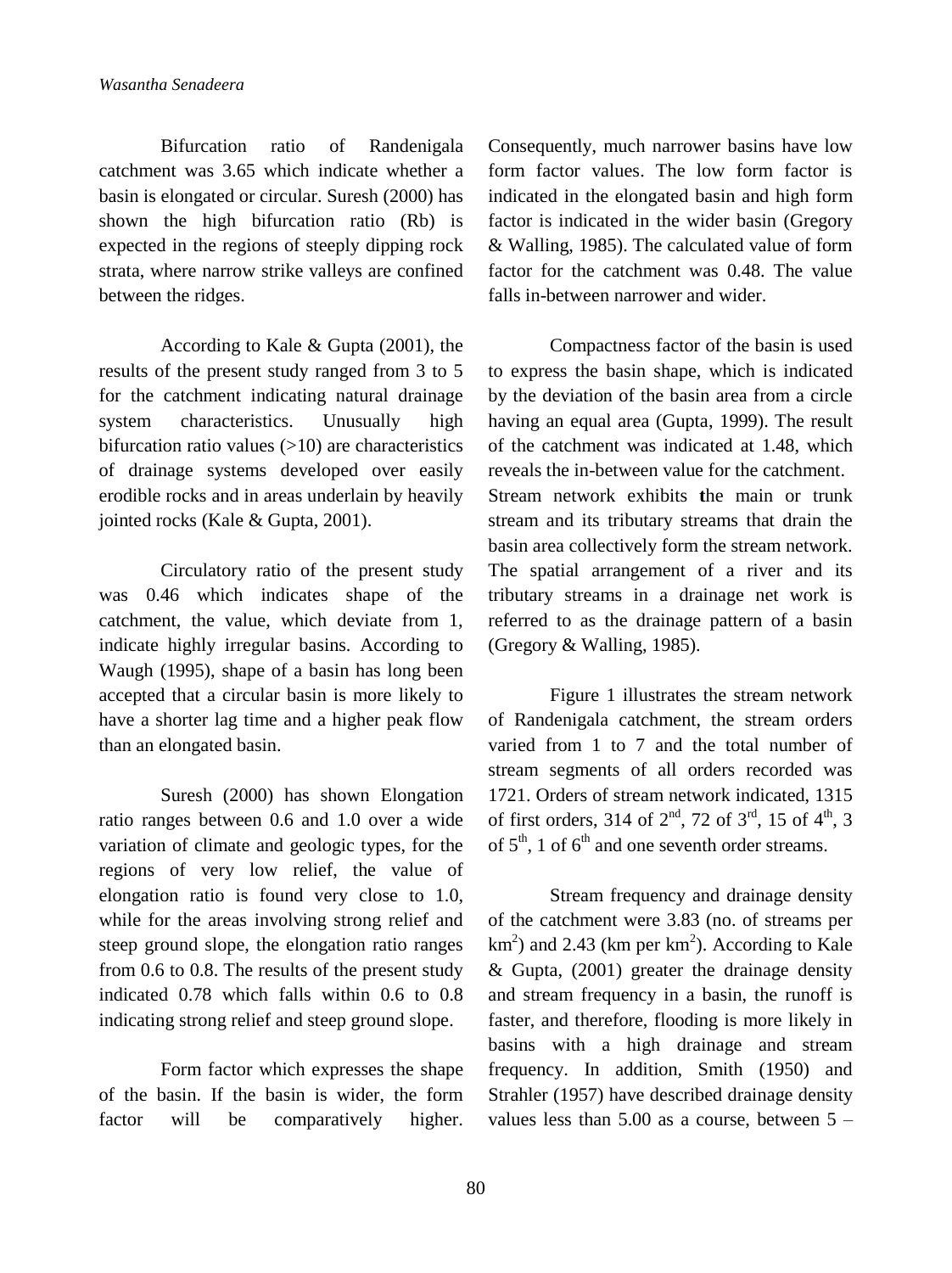Bifurcation ratio of Randenigala catchment was 3.65 which indicate whether a basin is elongated or circular. Suresh (2000) has shown the high bifurcation ratio (Rb) is expected in the regions of steeply dipping rock strata, where narrow strike valleys are confined between the ridges.

According to Kale & Gupta (2001), the results of the present study ranged from 3 to 5 for the catchment indicating natural drainage system characteristics. Unusually high bifurcation ratio values  $(>=10)$  are characteristics of drainage systems developed over easily erodible rocks and in areas underlain by heavily jointed rocks (Kale & Gupta, 2001).

Circulatory ratio of the present study was 0.46 which indicates shape of the catchment, the value, which deviate from 1, indicate highly irregular basins. According to Waugh (1995), shape of a basin has long been accepted that a circular basin is more likely to have a shorter lag time and a higher peak flow than an elongated basin.

Suresh (2000) has shown Elongation ratio ranges between 0.6 and 1.0 over a wide variation of climate and geologic types, for the regions of very low relief, the value of elongation ratio is found very close to 1.0, while for the areas involving strong relief and steep ground slope, the elongation ratio ranges from 0.6 to 0.8. The results of the present study indicated 0.78 which falls within 0.6 to 0.8 indicating strong relief and steep ground slope.

Form factor which expresses the shape of the basin. If the basin is wider, the form factor will be comparatively higher.

Consequently, much narrower basins have low form factor values. The low form factor is indicated in the elongated basin and high form factor is indicated in the wider basin (Gregory & Walling, 1985). The calculated value of form factor for the catchment was 0.48. The value falls in-between narrower and wider.

Compactness factor of the basin is used to express the basin shape, which is indicated by the deviation of the basin area from a circle having an equal area (Gupta, 1999). The result of the catchment was indicated at 1.48, which reveals the in-between value for the catchment. Stream network exhibits **t**he main or trunk stream and its tributary streams that drain the basin area collectively form the stream network. The spatial arrangement of a river and its tributary streams in a drainage net work is referred to as the drainage pattern of a basin (Gregory & Walling, 1985).

Figure 1 illustrates the stream network of Randenigala catchment, the stream orders varied from 1 to 7 and the total number of stream segments of all orders recorded was 1721. Orders of stream network indicated, 1315 of first orders, 314 of  $2^{nd}$ , 72 of  $3^{rd}$ , 15 of  $4^{th}$ , 3 of  $5<sup>th</sup>$ , 1 of  $6<sup>th</sup>$  and one seventh order streams.

Stream frequency and drainage density of the catchment were 3.83 (no. of streams per  $km<sup>2</sup>$ ) and 2.43 (km per km<sup>2</sup>). According to Kale  $& Gupta, (2001)$  greater the drainage density and stream frequency in a basin, the runoff is faster, and therefore, flooding is more likely in basins with a high drainage and stream frequency. In addition, Smith (1950) and Strahler (1957) have described drainage density values less than  $5.00$  as a course, between  $5 -$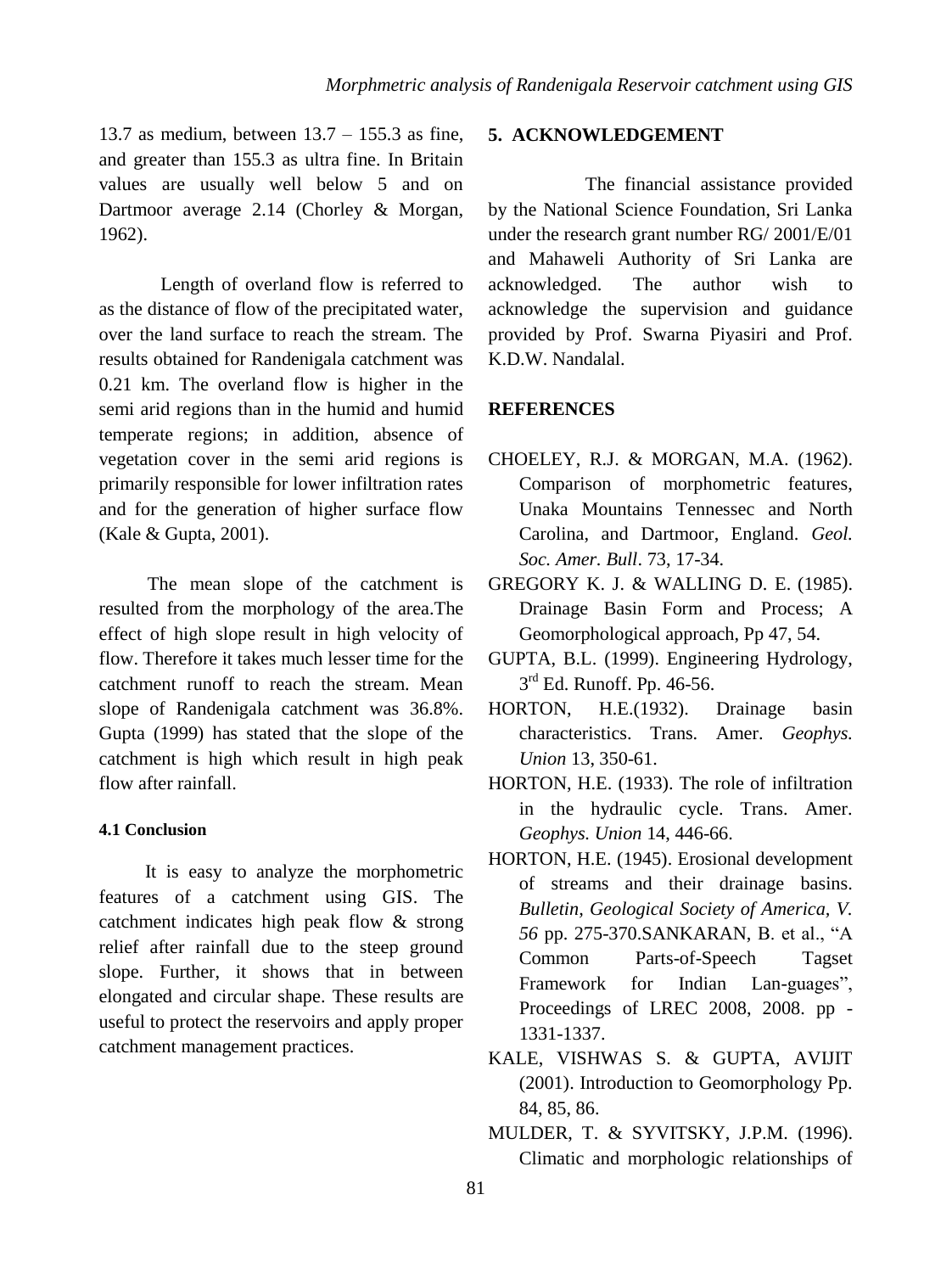13.7 as medium, between  $13.7 - 155.3$  as fine, and greater than 155.3 as ultra fine. In Britain values are usually well below 5 and on Dartmoor average 2.14 (Chorley & Morgan, 1962).

Length of overland flow is referred to as the distance of flow of the precipitated water, over the land surface to reach the stream. The results obtained for Randenigala catchment was 0.21 km. The overland flow is higher in the semi arid regions than in the humid and humid temperate regions; in addition, absence of vegetation cover in the semi arid regions is primarily responsible for lower infiltration rates and for the generation of higher surface flow (Kale & Gupta, 2001).

The mean slope of the catchment is resulted from the morphology of the area.The effect of high slope result in high velocity of flow. Therefore it takes much lesser time for the catchment runoff to reach the stream. Mean slope of Randenigala catchment was 36.8%. Gupta (1999) has stated that the slope of the catchment is high which result in high peak flow after rainfall.

## **4.1 Conclusion**

It is easy to analyze the morphometric features of a catchment using GIS. The catchment indicates high peak flow & strong relief after rainfall due to the steep ground slope. Further, it shows that in between elongated and circular shape. These results are useful to protect the reservoirs and apply proper catchment management practices.

# **5. ACKNOWLEDGEMENT**

The financial assistance provided by the National Science Foundation, Sri Lanka under the research grant number RG/ 2001/E/01 and Mahaweli Authority of Sri Lanka are acknowledged. The author wish to acknowledge the supervision and guidance provided by Prof. Swarna Piyasiri and Prof. K.D.W. Nandalal.

#### **REFERENCES**

- CHOELEY, R.J. & MORGAN, M.A. (1962). Comparison of morphometric features, Unaka Mountains Tennessec and North Carolina, and Dartmoor, England. *Geol. Soc. Amer. Bull*. 73, 17-34.
- GREGORY K. J. & WALLING D. E. (1985). Drainage Basin Form and Process; A Geomorphological approach, Pp 47, 54.
- GUPTA, B.L. (1999). Engineering Hydrology, 3 rd Ed. Runoff. Pp. 46-56.
- HORTON, H.E.(1932). Drainage basin characteristics. Trans. Amer. *Geophys. Union* 13, 350-61.
- HORTON, H.E. (1933). The role of infiltration in the hydraulic cycle. Trans. Amer. *Geophys. Union* 14, 446-66.
- HORTON, H.E. (1945). Erosional development of streams and their drainage basins. *Bulletin, Geological Society of America, V. 56* pp. 275-370.SANKARAN, B. et al., "A Common Parts-of-Speech Tagset Framework for Indian Lan-guages", Proceedings of LREC 2008, 2008. pp - 1331-1337.
- KALE, VISHWAS S. & GUPTA, AVIJIT (2001). Introduction to Geomorphology Pp. 84, 85, 86.
- MULDER, T. & SYVITSKY, J.P.M. (1996). Climatic and morphologic relationships of